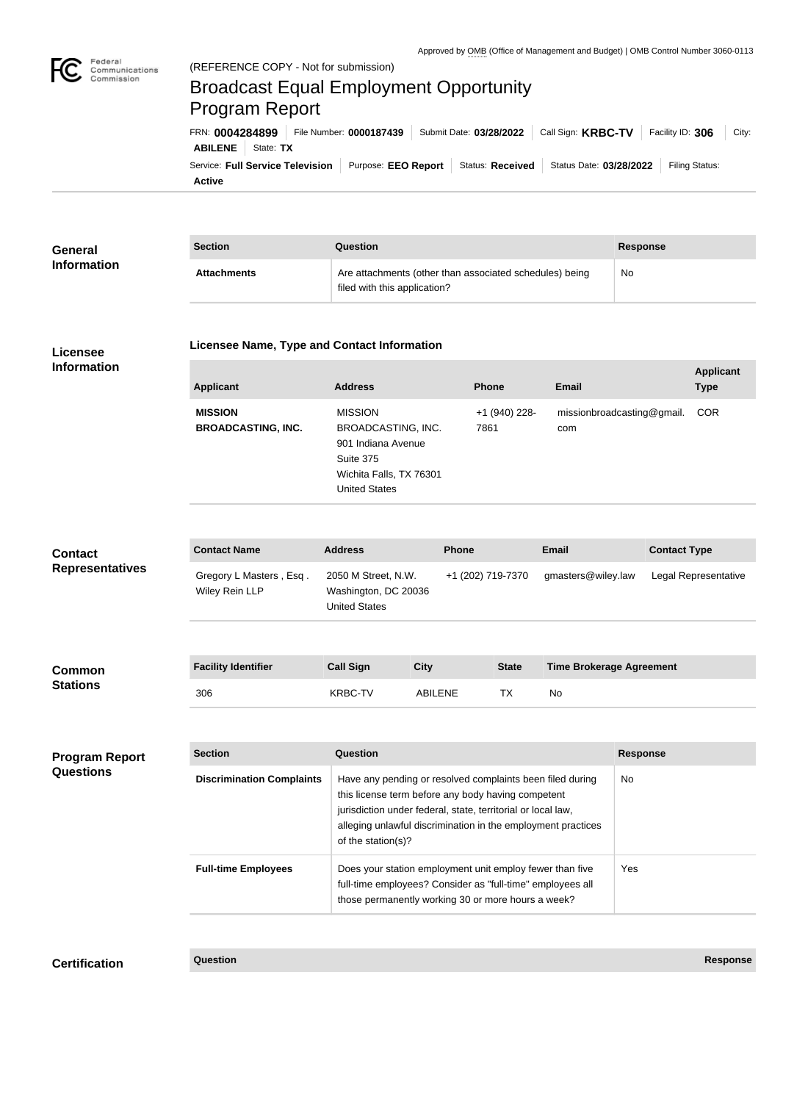

## Broadcast Equal Employment Opportunity Program Report

**Active** Service: Full Service Television | Purpose: EEO Report | Status: Received | Status Date: 03/28/2022 | Filing Status: **ABILENE** State: **TX** FRN: **0004284899** File Number: **0000187439** Submit Date: **03/28/2022** Call Sign: **KRBC-TV** Facility ID: **306** City:

| General<br><b>Information</b> | <b>Section</b>     | Question                                                                                | Response |
|-------------------------------|--------------------|-----------------------------------------------------------------------------------------|----------|
|                               | <b>Attachments</b> | Are attachments (other than associated schedules) being<br>filed with this application? | No       |

## **Licensee Information**

## **Licensee Name, Type and Contact Information**

| <b>Applicant</b>                            | <b>Address</b>                                                                                                             | <b>Phone</b>          | Email                             | <b>Applicant</b><br><b>Type</b> |
|---------------------------------------------|----------------------------------------------------------------------------------------------------------------------------|-----------------------|-----------------------------------|---------------------------------|
| <b>MISSION</b><br><b>BROADCASTING, INC.</b> | <b>MISSION</b><br>BROADCASTING, INC.<br>901 Indiana Avenue<br>Suite 375<br>Wichita Falls, TX 76301<br><b>United States</b> | +1 (940) 228-<br>7861 | missionbroadcasting@gmail.<br>com | <b>COR</b>                      |

| <b>Contact</b>         | <b>Contact Name</b>                       | <b>Address</b>                                                      | <b>Phone</b>      | <b>Email</b>                    | <b>Contact Type</b>  |
|------------------------|-------------------------------------------|---------------------------------------------------------------------|-------------------|---------------------------------|----------------------|
| <b>Representatives</b> | Gregory L Masters, Esq.<br>Wiley Rein LLP | 2050 M Street, N.W.<br>Washington, DC 20036<br><b>United States</b> | +1 (202) 719-7370 | gmasters@wiley.law              | Legal Representative |
|                        |                                           |                                                                     |                   |                                 |                      |
| <b>Common</b>          | <b>Facility Identifier</b>                | <b>Call Sign</b><br><b>City</b>                                     | <b>State</b>      | <b>Time Brokerage Agreement</b> |                      |

| <b>Common</b>   | <b>Facility Identifier</b> | Call Sign | Citv           | <b>State</b> | Time Brokerage Agreement |
|-----------------|----------------------------|-----------|----------------|--------------|--------------------------|
| <b>Stations</b> | 306                        | RRC:      | <b>ABILENE</b> |              | N0                       |

| <b>Section</b>                   | Question                                                                                                                                                                                                                                                              | <b>Response</b> |
|----------------------------------|-----------------------------------------------------------------------------------------------------------------------------------------------------------------------------------------------------------------------------------------------------------------------|-----------------|
| <b>Discrimination Complaints</b> | Have any pending or resolved complaints been filed during<br>this license term before any body having competent<br>jurisdiction under federal, state, territorial or local law,<br>alleging unlawful discrimination in the employment practices<br>of the station(s)? | No              |
| <b>Full-time Employees</b>       | Does your station employment unit employ fewer than five<br>full-time employees? Consider as "full-time" employees all<br>those permanently working 30 or more hours a week?                                                                                          | Yes             |

**Certification Question Response**

**Program Report** 

**Questions**